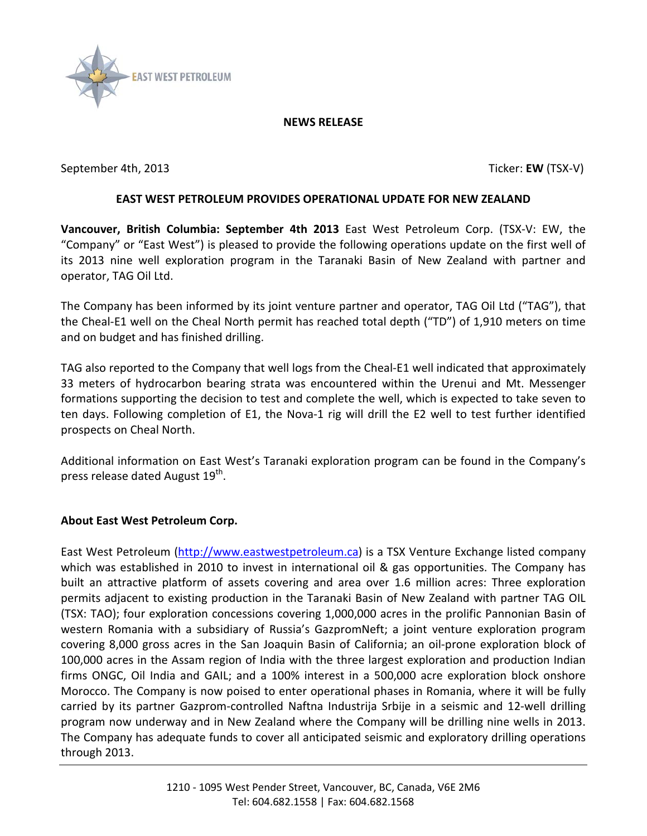

## **NEWS RELEASE**

September 4th, 2013 **Ticker: EW** (TSX-V)

## **EAST WEST PETROLEUM PROVIDES OPERATIONAL UPDATE FOR NEW ZEALAND**

**Vancouver, British Columbia: September 4th 2013** East West Petroleum Corp. (TSX-V: EW, the "Company" or "East West") is pleased to provide the following operations update on the first well of its 2013 nine well exploration program in the Taranaki Basin of New Zealand with partner and operator, TAG Oil Ltd.

The Company has been informed by its joint venture partner and operator, TAG Oil Ltd ("TAG"), that the Cheal-E1 well on the Cheal North permit has reached total depth ("TD") of 1,910 meters on time and on budget and has finished drilling.

TAG also reported to the Company that well logs from the Cheal-E1 well indicated that approximately 33 meters of hydrocarbon bearing strata was encountered within the Urenui and Mt. Messenger formations supporting the decision to test and complete the well, which is expected to take seven to ten days. Following completion of E1, the Nova-1 rig will drill the E2 well to test further identified prospects on Cheal North.

Additional information on East West's Taranaki exploration program can be found in the Company's press release dated August 19<sup>th</sup>.

## **About East West Petroleum Corp.**

East West Petroleum [\(http://www.eastwestpetroleum.ca\)](http://www.eastwestpetroleum.ca/) is a TSX Venture Exchange listed company which was established in 2010 to invest in international oil & gas opportunities. The Company has built an attractive platform of assets covering and area over 1.6 million acres: Three exploration permits adjacent to existing production in the Taranaki Basin of New Zealand with partner TAG OIL (TSX: TAO); four exploration concessions covering 1,000,000 acres in the prolific Pannonian Basin of western Romania with a subsidiary of Russia's GazpromNeft; a joint venture exploration program covering 8,000 gross acres in the San Joaquin Basin of California; an oil-prone exploration block of 100,000 acres in the Assam region of India with the three largest exploration and production Indian firms ONGC, Oil India and GAIL; and a 100% interest in a 500,000 acre exploration block onshore Morocco. The Company is now poised to enter operational phases in Romania, where it will be fully carried by its partner Gazprom-controlled Naftna Industrija Srbije in a seismic and 12-well drilling program now underway and in New Zealand where the Company will be drilling nine wells in 2013. The Company has adequate funds to cover all anticipated seismic and exploratory drilling operations through 2013.